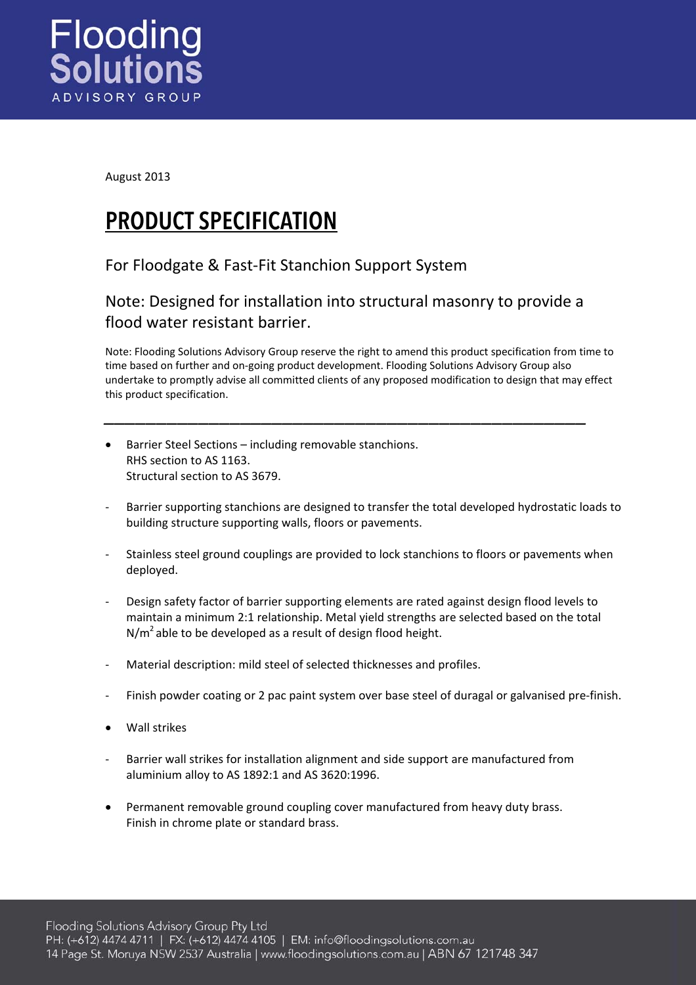

August 2013

## PRODUCT SPECIFICATION

## For Floodgate & Fast‐Fit Stanchion Support System

## Note: Designed for installation into structural masonry to provide a flood water resistant barrier.

*\_\_\_\_\_\_\_\_\_\_\_\_\_\_\_\_\_\_\_\_\_\_\_\_\_\_\_\_\_\_\_\_\_\_\_\_\_\_\_\_\_\_\_\_\_\_*

Note: Flooding Solutions Advisory Group reserve the right to amend this product specification from time to time based on further and on‐going product development. Flooding Solutions Advisory Group also undertake to promptly advise all committed clients of any proposed modification to design that may effect this product specification.

- Barrier Steel Sections including removable stanchions. RHS section to AS 1163. Structural section to AS 3679.
- ‐ Barrier supporting stanchions are designed to transfer the total developed hydrostatic loads to building structure supporting walls, floors or pavements.
- ‐ Stainless steel ground couplings are provided to lock stanchions to floors or pavements when deployed.
- ‐ Design safety factor of barrier supporting elements are rated against design flood levels to maintain a minimum 2:1 relationship. Metal yield strengths are selected based on the total  $N/m<sup>2</sup>$  able to be developed as a result of design flood height.
- ‐ Material description: mild steel of selected thicknesses and profiles.
- Finish powder coating or 2 pac paint system over base steel of duragal or galvanised pre-finish.
- Wall strikes
- Barrier wall strikes for installation alignment and side support are manufactured from aluminium alloy to AS 1892:1 and AS 3620:1996.
- Permanent removable ground coupling cover manufactured from heavy duty brass. Finish in chrome plate or standard brass.